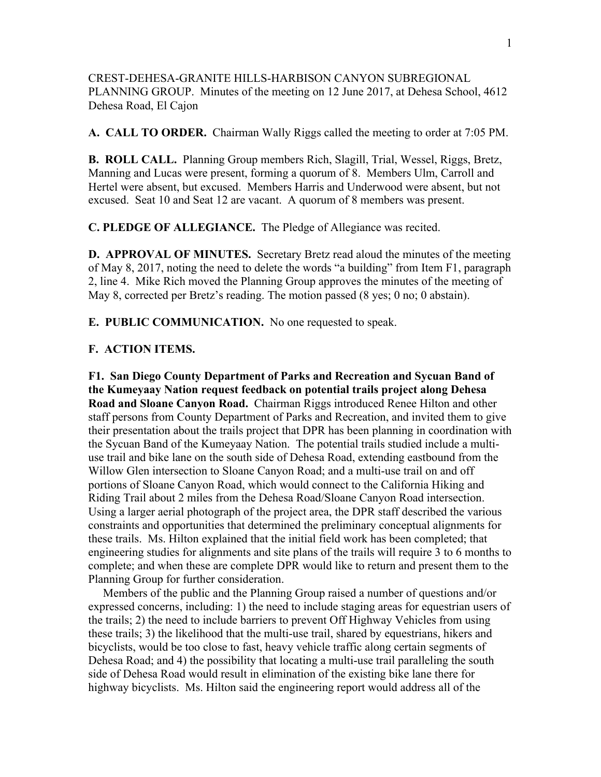CREST-DEHESA-GRANITE HILLS-HARBISON CANYON SUBREGIONAL PLANNING GROUP. Minutes of the meeting on 12 June 2017, at Dehesa School, 4612 Dehesa Road, El Cajon

**A. CALL TO ORDER.** Chairman Wally Riggs called the meeting to order at 7:05 PM.

**B. ROLL CALL.** Planning Group members Rich, Slagill, Trial, Wessel, Riggs, Bretz, Manning and Lucas were present, forming a quorum of 8. Members Ulm, Carroll and Hertel were absent, but excused. Members Harris and Underwood were absent, but not excused. Seat 10 and Seat 12 are vacant. A quorum of 8 members was present.

**C. PLEDGE OF ALLEGIANCE.** The Pledge of Allegiance was recited.

**D. APPROVAL OF MINUTES.** Secretary Bretz read aloud the minutes of the meeting of May 8, 2017, noting the need to delete the words "a building" from Item F1, paragraph 2, line 4. Mike Rich moved the Planning Group approves the minutes of the meeting of May 8, corrected per Bretz's reading. The motion passed (8 yes; 0 no; 0 abstain).

**E. PUBLIC COMMUNICATION.** No one requested to speak.

## **F. ACTION ITEMS.**

**F1. San Diego County Department of Parks and Recreation and Sycuan Band of the Kumeyaay Nation request feedback on potential trails project along Dehesa Road and Sloane Canyon Road.** Chairman Riggs introduced Renee Hilton and other staff persons from County Department of Parks and Recreation, and invited them to give their presentation about the trails project that DPR has been planning in coordination with the Sycuan Band of the Kumeyaay Nation. The potential trails studied include a multiuse trail and bike lane on the south side of Dehesa Road, extending eastbound from the Willow Glen intersection to Sloane Canyon Road; and a multi-use trail on and off portions of Sloane Canyon Road, which would connect to the California Hiking and Riding Trail about 2 miles from the Dehesa Road/Sloane Canyon Road intersection. Using a larger aerial photograph of the project area, the DPR staff described the various constraints and opportunities that determined the preliminary conceptual alignments for these trails. Ms. Hilton explained that the initial field work has been completed; that engineering studies for alignments and site plans of the trails will require 3 to 6 months to complete; and when these are complete DPR would like to return and present them to the Planning Group for further consideration.

 Members of the public and the Planning Group raised a number of questions and/or expressed concerns, including: 1) the need to include staging areas for equestrian users of the trails; 2) the need to include barriers to prevent Off Highway Vehicles from using these trails; 3) the likelihood that the multi-use trail, shared by equestrians, hikers and bicyclists, would be too close to fast, heavy vehicle traffic along certain segments of Dehesa Road; and 4) the possibility that locating a multi-use trail paralleling the south side of Dehesa Road would result in elimination of the existing bike lane there for highway bicyclists. Ms. Hilton said the engineering report would address all of the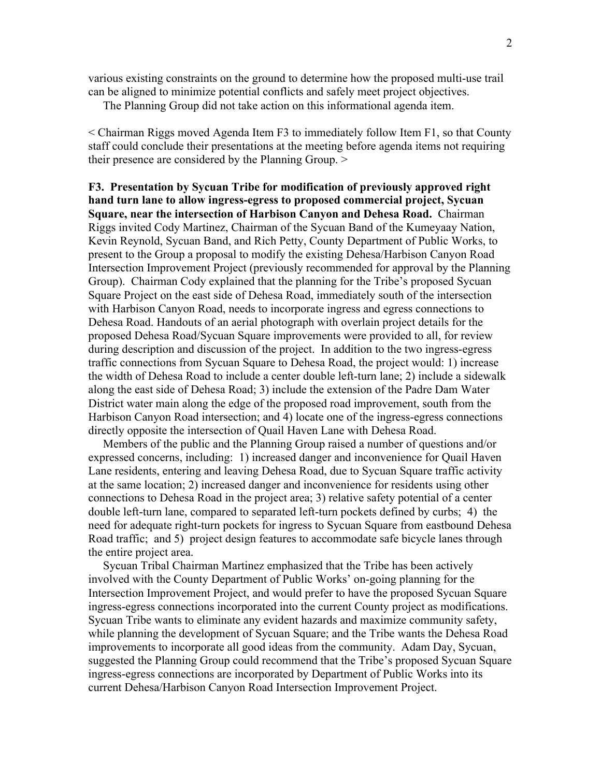various existing constraints on the ground to determine how the proposed multi-use trail can be aligned to minimize potential conflicts and safely meet project objectives.

The Planning Group did not take action on this informational agenda item.

< Chairman Riggs moved Agenda Item F3 to immediately follow Item F1, so that County staff could conclude their presentations at the meeting before agenda items not requiring their presence are considered by the Planning Group. >

**F3. Presentation by Sycuan Tribe for modification of previously approved right hand turn lane to allow ingress-egress to proposed commercial project, Sycuan Square, near the intersection of Harbison Canyon and Dehesa Road.** Chairman Riggs invited Cody Martinez, Chairman of the Sycuan Band of the Kumeyaay Nation, Kevin Reynold, Sycuan Band, and Rich Petty, County Department of Public Works, to present to the Group a proposal to modify the existing Dehesa/Harbison Canyon Road Intersection Improvement Project (previously recommended for approval by the Planning Group). Chairman Cody explained that the planning for the Tribe's proposed Sycuan Square Project on the east side of Dehesa Road, immediately south of the intersection with Harbison Canyon Road, needs to incorporate ingress and egress connections to Dehesa Road. Handouts of an aerial photograph with overlain project details for the proposed Dehesa Road/Sycuan Square improvements were provided to all, for review during description and discussion of the project. In addition to the two ingress-egress traffic connections from Sycuan Square to Dehesa Road, the project would: 1) increase the width of Dehesa Road to include a center double left-turn lane; 2) include a sidewalk along the east side of Dehesa Road; 3) include the extension of the Padre Dam Water District water main along the edge of the proposed road improvement, south from the Harbison Canyon Road intersection; and 4) locate one of the ingress-egress connections directly opposite the intersection of Quail Haven Lane with Dehesa Road.

 Members of the public and the Planning Group raised a number of questions and/or expressed concerns, including: 1) increased danger and inconvenience for Quail Haven Lane residents, entering and leaving Dehesa Road, due to Sycuan Square traffic activity at the same location; 2) increased danger and inconvenience for residents using other connections to Dehesa Road in the project area; 3) relative safety potential of a center double left-turn lane, compared to separated left-turn pockets defined by curbs; 4) the need for adequate right-turn pockets for ingress to Sycuan Square from eastbound Dehesa Road traffic; and 5) project design features to accommodate safe bicycle lanes through the entire project area.

 Sycuan Tribal Chairman Martinez emphasized that the Tribe has been actively involved with the County Department of Public Works' on-going planning for the Intersection Improvement Project, and would prefer to have the proposed Sycuan Square ingress-egress connections incorporated into the current County project as modifications. Sycuan Tribe wants to eliminate any evident hazards and maximize community safety, while planning the development of Sycuan Square; and the Tribe wants the Dehesa Road improvements to incorporate all good ideas from the community. Adam Day, Sycuan, suggested the Planning Group could recommend that the Tribe's proposed Sycuan Square ingress-egress connections are incorporated by Department of Public Works into its current Dehesa/Harbison Canyon Road Intersection Improvement Project.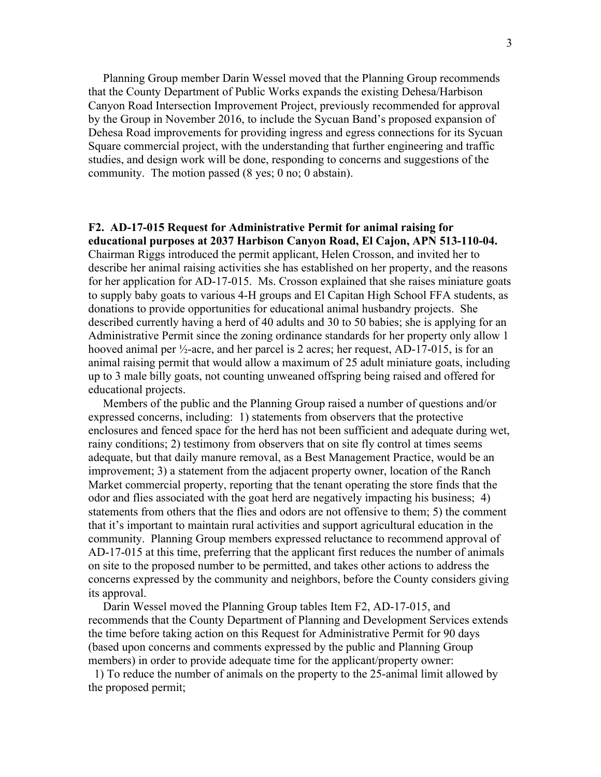Planning Group member Darin Wessel moved that the Planning Group recommends that the County Department of Public Works expands the existing Dehesa/Harbison Canyon Road Intersection Improvement Project, previously recommended for approval by the Group in November 2016, to include the Sycuan Band's proposed expansion of Dehesa Road improvements for providing ingress and egress connections for its Sycuan Square commercial project, with the understanding that further engineering and traffic studies, and design work will be done, responding to concerns and suggestions of the community. The motion passed (8 yes; 0 no; 0 abstain).

## **F2. AD-17-015 Request for Administrative Permit for animal raising for**

**educational purposes at 2037 Harbison Canyon Road, El Cajon, APN 513-110-04.** Chairman Riggs introduced the permit applicant, Helen Crosson, and invited her to describe her animal raising activities she has established on her property, and the reasons for her application for AD-17-015. Ms. Crosson explained that she raises miniature goats to supply baby goats to various 4-H groups and El Capitan High School FFA students, as donations to provide opportunities for educational animal husbandry projects. She described currently having a herd of 40 adults and 30 to 50 babies; she is applying for an Administrative Permit since the zoning ordinance standards for her property only allow 1 hooved animal per  $\frac{1}{2}$ -acre, and her parcel is 2 acres; her request, AD-17-015, is for an animal raising permit that would allow a maximum of 25 adult miniature goats, including up to 3 male billy goats, not counting unweaned offspring being raised and offered for educational projects.

 Members of the public and the Planning Group raised a number of questions and/or expressed concerns, including: 1) statements from observers that the protective enclosures and fenced space for the herd has not been sufficient and adequate during wet, rainy conditions; 2) testimony from observers that on site fly control at times seems adequate, but that daily manure removal, as a Best Management Practice, would be an improvement; 3) a statement from the adjacent property owner, location of the Ranch Market commercial property, reporting that the tenant operating the store finds that the odor and flies associated with the goat herd are negatively impacting his business; 4) statements from others that the flies and odors are not offensive to them; 5) the comment that it's important to maintain rural activities and support agricultural education in the community. Planning Group members expressed reluctance to recommend approval of AD-17-015 at this time, preferring that the applicant first reduces the number of animals on site to the proposed number to be permitted, and takes other actions to address the concerns expressed by the community and neighbors, before the County considers giving its approval.

 Darin Wessel moved the Planning Group tables Item F2, AD-17-015, and recommends that the County Department of Planning and Development Services extends the time before taking action on this Request for Administrative Permit for 90 days (based upon concerns and comments expressed by the public and Planning Group members) in order to provide adequate time for the applicant/property owner:

 1) To reduce the number of animals on the property to the 25-animal limit allowed by the proposed permit;